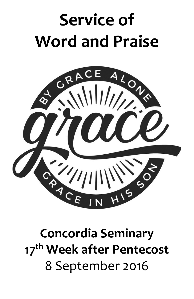# **Service of Word and Praise**



## **Concordia Seminary 17th Week after Pentecost** 8 September 2016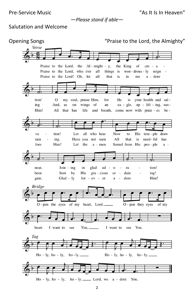Pre-Service Music "As It Is In Heaven"

*—Please stand if able—*

## Salutation and Welcome

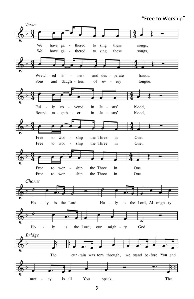### "Free to Worship"

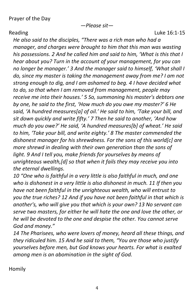*—Please sit—*

Reading **Luke 16:1-15** 

*He also said to the disciples, "There was a rich man who had a manager, and charges were brought to him that this man was wasting his possessions. 2 And he called him and said to him, 'What is this that I hear about you? Turn in the account of your management, for you can no longer be manager.' 3 And the manager said to himself, 'What shall I do, since my master is taking the management away from me? I am not strong enough to dig, and I am ashamed to beg. 4 I have decided what to do, so that when I am removed from management, people may receive me into their houses.' 5 So, summoning his master's debtors one by one, he said to the first, 'How much do you owe my master?' 6 He said, 'A hundred measures[a] of oil.' He said to him, 'Take your bill, and sit down quickly and write fifty.' 7 Then he said to another, 'And how much do you owe?' He said, 'A hundred measures[b] of wheat.' He said to him, 'Take your bill, and write eighty.' 8 The master commended the dishonest manager for his shrewdness. For the sons of this world[c] are more shrewd in dealing with their own generation than the sons of light. 9 And I tell you, make friends for yourselves by means of unrighteous wealth,[d] so that when it fails they may receive you into the eternal dwellings.*

*10 "One who is faithful in a very little is also faithful in much, and one who is dishonest in a very little is also dishonest in much. 11 If then you have not been faithful in the unrighteous wealth, who will entrust to you the true riches? 12 And if you have not been faithful in that which is another's, who will give you that which is your own? 13 No servant can serve two masters, for either he will hate the one and love the other, or he will be devoted to the one and despise the other. You cannot serve God and money."*

*14 The Pharisees, who were lovers of money, heard all these things, and they ridiculed him. 15 And he said to them, "You are those who justify yourselves before men, but God knows your hearts. For what is exalted among men is an abomination in the sight of God.*

Homily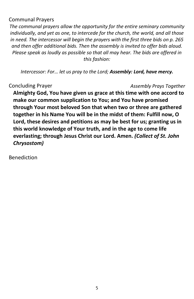## Communal Prayers

*The communal prayers allow the opportunity for the entire seminary community individually, and yet as one, to intercede for the church, the world, and all those in need. The intercessor will begin the prayers with the first three bids on p. 265 and then offer additional bids. Then the assembly is invited to offer bids aloud. Please speak as loudly as possible so that all may hear. The bids are offered in this fashion:*

*Intercessor: For… let us pray to the Lord; Assembly: Lord, have mercy.*

## Concluding Prayer *Assembly Prays Together*

**Almighty God, You have given us grace at this time with one accord to make our common supplication to You; and You have promised through Your most beloved Son that when two or three are gathered together in his Name You will be in the midst of them: Fulfill now, O Lord, these desires and petitions as may be best for us; granting us in this world knowledge of Your truth, and in the age to come life everlasting; through Jesus Christ our Lord. Amen.** *(Collect of St. John Chrysostom)*

Benediction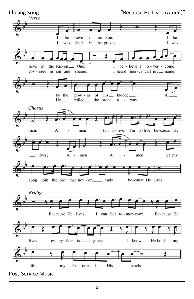